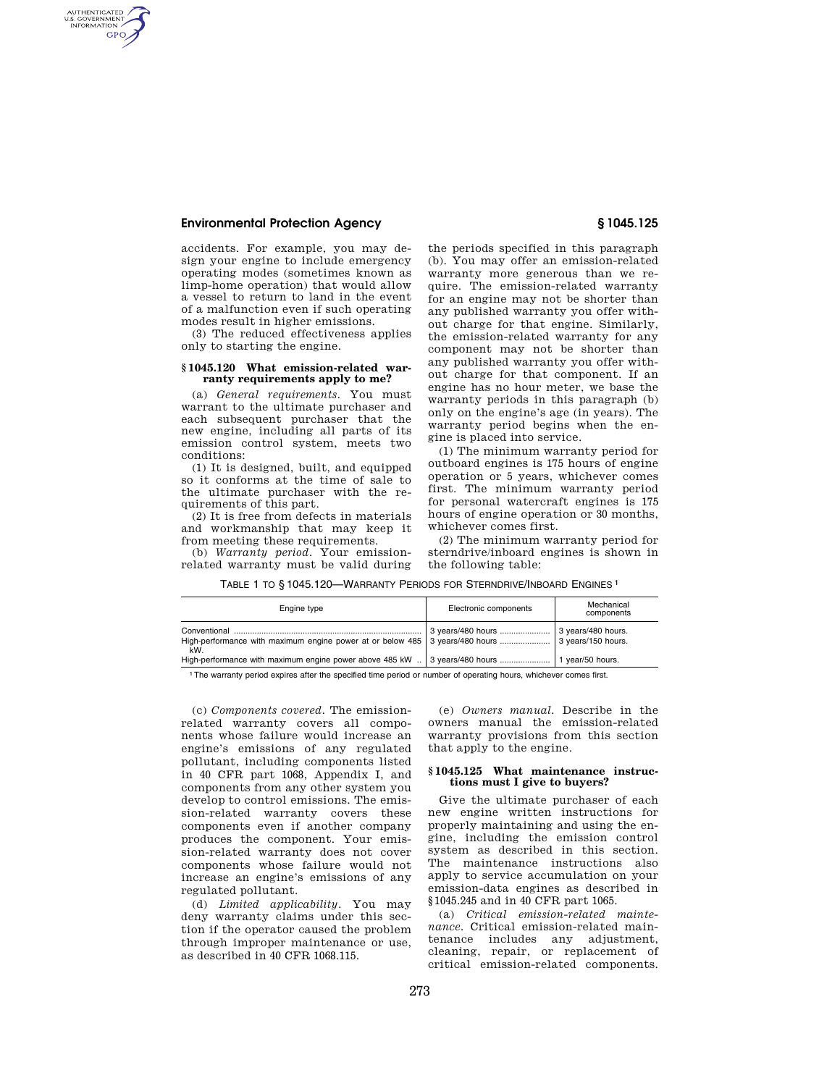# **Environmental Protection Agency § 1045.125**

AUTHENTICATED<br>U.S. GOVERNMENT<br>INFORMATION **GPO** 

> accidents. For example, you may design your engine to include emergency operating modes (sometimes known as limp-home operation) that would allow a vessel to return to land in the event of a malfunction even if such operating modes result in higher emissions.

(3) The reduced effectiveness applies only to starting the engine.

#### **§ 1045.120 What emission-related warranty requirements apply to me?**

(a) *General requirements.* You must warrant to the ultimate purchaser and each subsequent purchaser that the new engine, including all parts of its emission control system, meets two conditions:

(1) It is designed, built, and equipped so it conforms at the time of sale to the ultimate purchaser with the requirements of this part.

(2) It is free from defects in materials and workmanship that may keep it from meeting these requirements.

(b) *Warranty period.* Your emissionrelated warranty must be valid during the periods specified in this paragraph (b). You may offer an emission-related warranty more generous than we require. The emission-related warranty for an engine may not be shorter than any published warranty you offer without charge for that engine. Similarly, the emission-related warranty for any component may not be shorter than any published warranty you offer without charge for that component. If an engine has no hour meter, we base the warranty periods in this paragraph (b) only on the engine's age (in years). The warranty period begins when the engine is placed into service.

(1) The minimum warranty period for outboard engines is 175 hours of engine operation or 5 years, whichever comes first. The minimum warranty period for personal watercraft engines is 175 hours of engine operation or 30 months, whichever comes first.

(2) The minimum warranty period for sterndrive/inboard engines is shown in the following table:

TABLE 1 TO § 1045.120—WARRANTY PERIODS FOR STERNDRIVE/INBOARD ENGINES 1

| Engine type                                                                                             | Electronic components | Mechanical<br>components |
|---------------------------------------------------------------------------------------------------------|-----------------------|--------------------------|
| High-performance with maximum engine power at or below 485 3 years/480 hours  3 years/150 hours.<br>kW. |                       |                          |
| High-performance with maximum engine power above 485 kW  3 years/480 hours  1 year/50 hours.            |                       |                          |

1The warranty period expires after the specified time period or number of operating hours, whichever comes first.

(c) *Components covered.* The emissionrelated warranty covers all components whose failure would increase an engine's emissions of any regulated pollutant, including components listed in 40 CFR part 1068, Appendix I, and components from any other system you develop to control emissions. The emission-related warranty covers these components even if another company produces the component. Your emission-related warranty does not cover components whose failure would not increase an engine's emissions of any regulated pollutant.

(d) *Limited applicability.* You may deny warranty claims under this section if the operator caused the problem through improper maintenance or use, as described in 40 CFR 1068.115.

(e) *Owners manual.* Describe in the owners manual the emission-related warranty provisions from this section that apply to the engine.

### **§ 1045.125 What maintenance instructions must I give to buyers?**

Give the ultimate purchaser of each new engine written instructions for properly maintaining and using the engine, including the emission control system as described in this section. The maintenance instructions also apply to service accumulation on your emission-data engines as described in §1045.245 and in 40 CFR part 1065.

(a) *Critical emission-related maintenance.* Critical emission-related maintenance includes any adjustment, cleaning, repair, or replacement of critical emission-related components.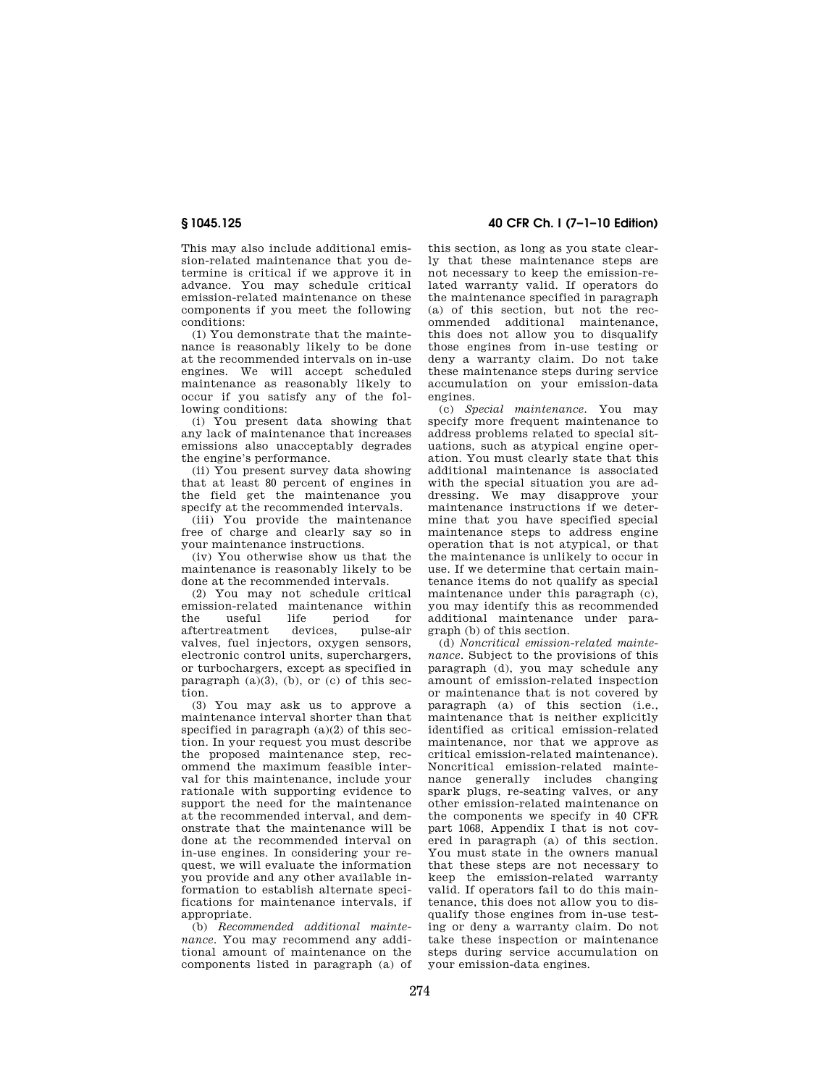This may also include additional emission-related maintenance that you determine is critical if we approve it in advance. You may schedule critical emission-related maintenance on these components if you meet the following conditions:

(1) You demonstrate that the maintenance is reasonably likely to be done at the recommended intervals on in-use engines. We will accept scheduled maintenance as reasonably likely to occur if you satisfy any of the following conditions:

(i) You present data showing that any lack of maintenance that increases emissions also unacceptably degrades the engine's performance.

(ii) You present survey data showing that at least 80 percent of engines in the field get the maintenance you specify at the recommended intervals.

(iii) You provide the maintenance free of charge and clearly say so in your maintenance instructions.

(iv) You otherwise show us that the maintenance is reasonably likely to be done at the recommended intervals.

(2) You may not schedule critical emission-related maintenance within<br>the useful life period for the useful life period for<br>aftertreatment devices, pulse-air aftertreatment valves, fuel injectors, oxygen sensors, electronic control units, superchargers, or turbochargers, except as specified in paragraph  $(a)(3)$ ,  $(b)$ , or  $(c)$  of this section.

(3) You may ask us to approve a maintenance interval shorter than that specified in paragraph (a)(2) of this section. In your request you must describe the proposed maintenance step, recommend the maximum feasible interval for this maintenance, include your rationale with supporting evidence to support the need for the maintenance at the recommended interval, and demonstrate that the maintenance will be done at the recommended interval on in-use engines. In considering your request, we will evaluate the information you provide and any other available information to establish alternate specifications for maintenance intervals, if appropriate.

(b) *Recommended additional maintenance.* You may recommend any additional amount of maintenance on the components listed in paragraph (a) of

**§ 1045.125 40 CFR Ch. I (7–1–10 Edition)** 

this section, as long as you state clearly that these maintenance steps are not necessary to keep the emission-related warranty valid. If operators do the maintenance specified in paragraph (a) of this section, but not the recommended additional maintenance, this does not allow you to disqualify those engines from in-use testing or deny a warranty claim. Do not take these maintenance steps during service accumulation on your emission-data engines.

(c) *Special maintenance.* You may specify more frequent maintenance to address problems related to special situations, such as atypical engine operation. You must clearly state that this additional maintenance is associated with the special situation you are addressing. We may disapprove your maintenance instructions if we determine that you have specified special maintenance steps to address engine operation that is not atypical, or that the maintenance is unlikely to occur in use. If we determine that certain maintenance items do not qualify as special maintenance under this paragraph (c), you may identify this as recommended additional maintenance under paragraph (b) of this section.

(d) *Noncritical emission-related maintenance.* Subject to the provisions of this paragraph (d), you may schedule any amount of emission-related inspection or maintenance that is not covered by paragraph (a) of this section (i.e., maintenance that is neither explicitly identified as critical emission-related maintenance, nor that we approve as critical emission-related maintenance). Noncritical emission-related maintenance generally includes changing spark plugs, re-seating valves, or any other emission-related maintenance on the components we specify in 40 CFR part 1068, Appendix I that is not covered in paragraph (a) of this section. You must state in the owners manual that these steps are not necessary to keep the emission-related warranty valid. If operators fail to do this maintenance, this does not allow you to disqualify those engines from in-use testing or deny a warranty claim. Do not take these inspection or maintenance steps during service accumulation on your emission-data engines.